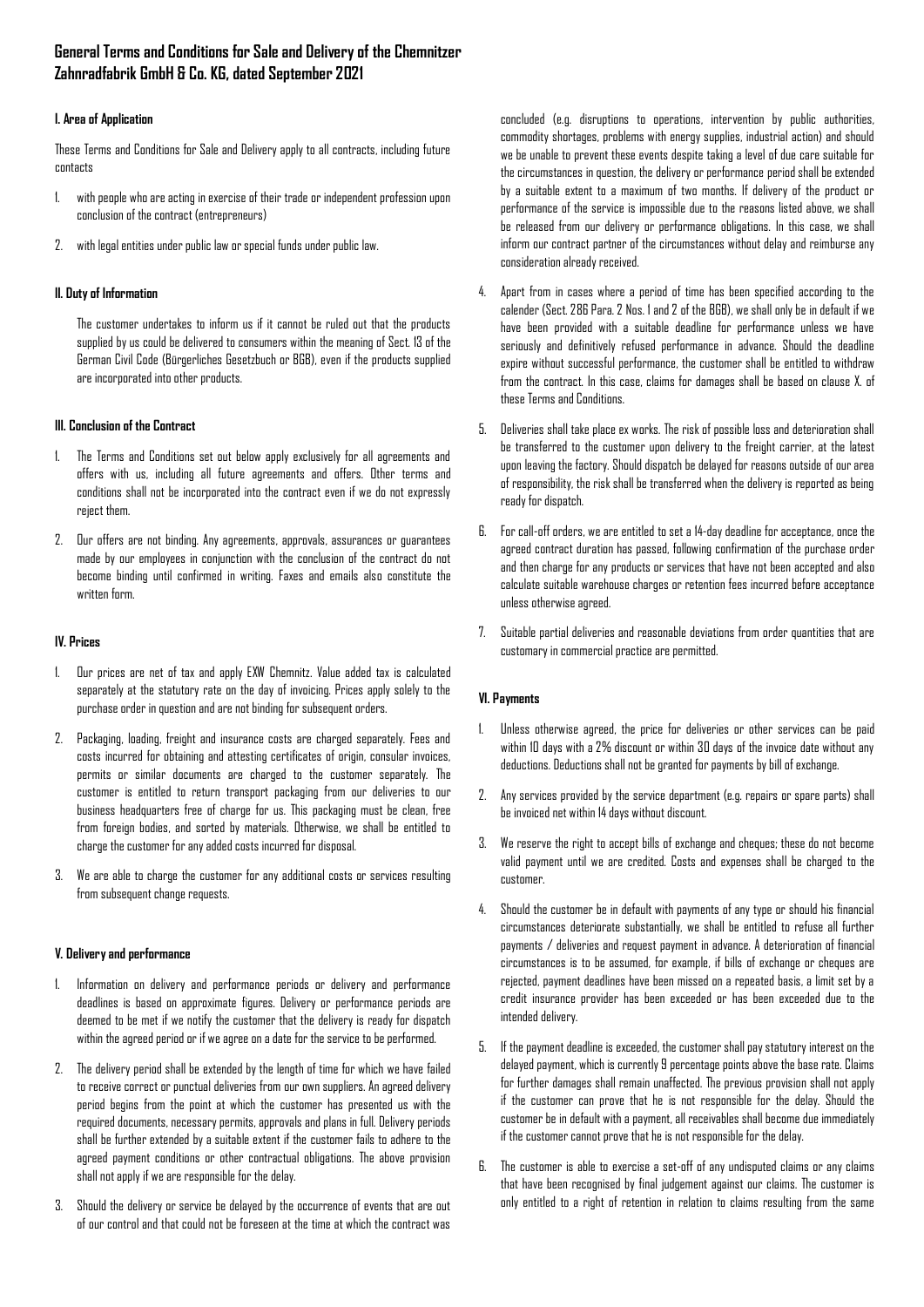# **General Terms and Conditions for Sale and Delivery of the Chemnitzer Zahnradfabrik GmbH & Co. KG, dated September 2021**

# **I. Area of Application**

These Terms and Conditions for Sale and Delivery apply to all contracts, including future contacts

- 1. with people who are acting in exercise of their trade or independent profession upon conclusion of the contract (entrepreneurs)
- 2. with legal entities under public law or special funds under public law.

# **II. Duty of Information**

The customer undertakes to inform us if it cannot be ruled out that the products supplied by us could be delivered to consumers within the meaning of Sect. 13 of the German Civil Code (Bürgerliches Gesetzbuch or BGB), even if the products supplied are incorporated into other products.

### **III. Conclusion of the Contract**

- 1. The Terms and Conditions set out below apply exclusively for all agreements and offers with us, including all future agreements and offers. Other terms and conditions shall not be incorporated into the contract even if we do not expressly reject them.
- 2. Our offers are not binding. Any agreements, approvals, assurances or guarantees made by our employees in conjunction with the conclusion of the contract do not become binding until confirmed in writing. Faxes and emails also constitute the written form.

# **IV. Prices**

- 1. Our prices are net of tax and apply EXW Chemnitz. Value added tax is calculated separately at the statutory rate on the day of invoicing. Prices apply solely to the purchase order in question and are not binding for subsequent orders.
- 2. Packaging, loading, freight and insurance costs are charged separately. Fees and costs incurred for obtaining and attesting certificates of origin, consular invoices, permits or similar documents are charged to the customer separately. The customer is entitled to return transport packaging from our deliveries to our business headquarters free of charge for us. This packaging must be clean, free from foreign bodies, and sorted by materials. Otherwise, we shall be entitled to charge the customer for any added costs incurred for disposal.
- 3. We are able to charge the customer for any additional costs or services resulting from subsequent change requests.

### **V. Delivery and performance**

- 1. Information on delivery and performance periods or delivery and performance deadlines is based on approximate figures. Delivery or performance periods are deemed to be met if we notify the customer that the delivery is ready for dispatch within the agreed period or if we agree on a date for the service to be performed.
- 2. The delivery period shall be extended by the length of time for which we have failed to receive correct or punctual deliveries from our own suppliers. An agreed delivery period begins from the point at which the customer has presented us with the required documents, necessary permits, approvals and plans in full. Delivery periods shall be further extended by a suitable extent if the customer fails to adhere to the agreed payment conditions or other contractual obligations. The above provision shall not apply if we are responsible for the delay.
- 3. Should the delivery or service be delayed by the occurrence of events that are out of our control and that could not be foreseen at the time at which the contract was

concluded (e.g. disruptions to operations, intervention by public authorities, commodity shortages, problems with energy supplies, industrial action) and should we be unable to prevent these events despite taking a level of due care suitable for the circumstances in question, the delivery or performance period shall be extended by a suitable extent to a maximum of two months. If delivery of the product or performance of the service is impossible due to the reasons listed above, we shall be released from our delivery or performance obligations. In this case, we shall inform our contract partner of the circumstances without delay and reimburse any consideration already received.

- 4. Apart from in cases where a period of time has been specified according to the calender (Sect. 286 Para. 2 Nos. 1 and 2 of the BGB), we shall only be in default if we have been provided with a suitable deadline for performance unless we have seriously and definitively refused performance in advance. Should the deadline expire without successful performance, the customer shall be entitled to withdraw from the contract. In this case, claims for damages shall be based on clause X. of these Terms and Conditions.
- 5. Deliveries shall take place ex works. The risk of possible loss and deterioration shall be transferred to the customer upon delivery to the freight carrier, at the latest upon leaving the factory. Should dispatch be delayed for reasons outside of our area of responsibility, the risk shall be transferred when the delivery is reported as being ready for dispatch.
- 6. For call-off orders, we are entitled to set a 14-day deadline for acceptance, once the agreed contract duration has passed, following confirmation of the purchase order and then charge for any products or services that have not been accepted and also calculate suitable warehouse charges or retention fees incurred before acceptance unless otherwise agreed.
- 7. Suitable partial deliveries and reasonable deviations from order quantities that are customary in commercial practice are permitted.

# **VI. Payments**

- Unless otherwise agreed, the price for deliveries or other services can be paid within 10 days with a 2% discount or within 30 days of the invoice date without any deductions. Deductions shall not be granted for payments by bill of exchange.
- 2. Any services provided by the service department (e.g. repairs or spare parts) shall be invoiced net within 14 days without discount.
- 3. We reserve the right to accept bills of exchange and cheques; these do not become valid payment until we are credited. Costs and expenses shall be charged to the customer.
- 4. Should the customer be in default with payments of any type or should his financial circumstances deteriorate substantially, we shall be entitled to refuse all further payments / deliveries and request payment in advance. A deterioration of financial circumstances is to be assumed, for example, if bills of exchange or cheques are rejected, payment deadlines have been missed on a repeated basis, a limit set by a credit insurance provider has been exceeded or has been exceeded due to the intended delivery.
- 5. If the payment deadline is exceeded, the customer shall pay statutory interest on the delayed payment, which is currently 9 percentage points above the base rate. Claims for further damages shall remain unaffected. The previous provision shall not apply if the customer can prove that he is not responsible for the delay. Should the customer be in default with a payment, all receivables shall become due immediately if the customer cannot prove that he is not responsible for the delay.
- 6. The customer is able to exercise a set-off of any undisputed claims or any claims that have been recognised by final judgement against our claims. The customer is only entitled to a right of retention in relation to claims resulting from the same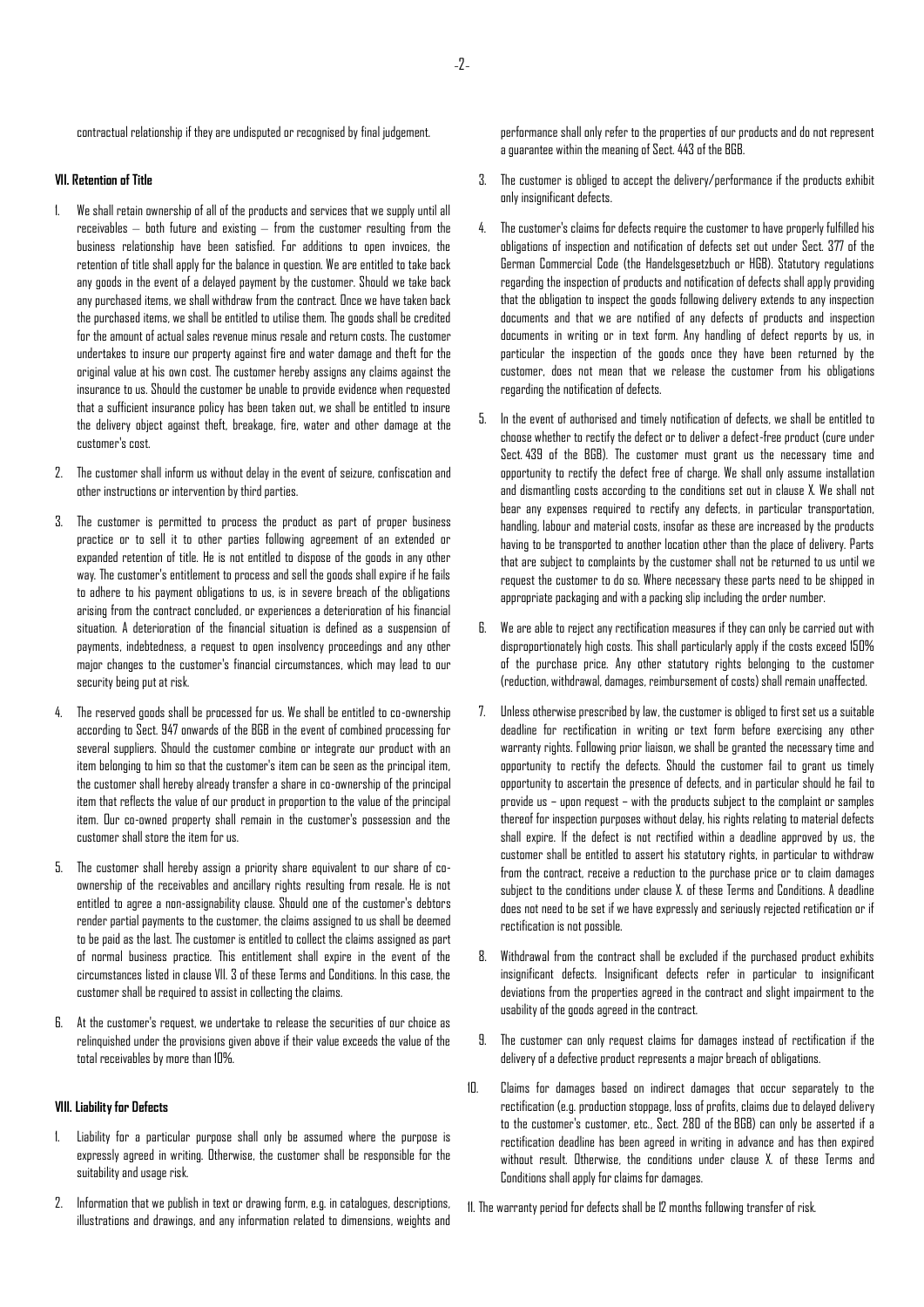contractual relationship if they are undisputed or recognised by final judgement.

# **VII. Retention of Title**

- 1. We shall retain ownership of all of the products and services that we supply until all receivables – both future and existing – from the customer resulting from the business relationship have been satisfied. For additions to open invoices, the retention of title shall apply for the balance in question. We are entitled to take back any goods in the event of a delayed payment by the customer. Should we take back any purchased items, we shall withdraw from the contract. Once we have taken back the purchased items, we shall be entitled to utilise them. The goods shall be credited for the amount of actual sales revenue minus resale and return costs. The customer undertakes to insure our property against fire and water damage and theft for the original value at his own cost. The customer hereby assigns any claims against the insurance to us. Should the customer be unable to provide evidence when requested that a sufficient insurance policy has been taken out, we shall be entitled to insure the delivery object against theft, breakage, fire, water and other damage at the customer's cost.
- 2. The customer shall inform us without delay in the event of seizure, confiscation and other instructions or intervention by third parties.
- 3. The customer is permitted to process the product as part of proper business practice or to sell it to other parties following agreement of an extended or expanded retention of title. He is not entitled to dispose of the goods in any other way. The customer's entitlement to process and sell the goods shall expire if he fails to adhere to his payment obligations to us, is in severe breach of the obligations arising from the contract concluded, or experiences a deterioration of his financial situation. A deterioration of the financial situation is defined as a suspension of payments, indebtedness, a request to open insolvency proceedings and any other major changes to the customer's financial circumstances, which may lead to our security being put at risk.
- 4. The reserved goods shall be processed for us. We shall be entitled to co-ownership according to Sect. 947 onwards of the BGB in the event of combined processing for several suppliers. Should the customer combine or integrate our product with an item belonging to him so that the customer's item can be seen as the principal item, the customer shall hereby already transfer a share in co-ownership of the principal item that reflects the value of our product in proportion to the value of the principal item. Our co-owned property shall remain in the customer's possession and the customer shall store the item for us.
- 5. The customer shall hereby assign a priority share equivalent to our share of coownership of the receivables and ancillary rights resulting from resale. He is not entitled to agree a non-assignability clause. Should one of the customer's debtors render partial payments to the customer, the claims assigned to us shall be deemed to be paid as the last. The customer is entitled to collect the claims assigned as part of normal business practice. This entitlement shall expire in the event of the circumstances listed in clause VII. 3 of these Terms and Conditions. In this case, the customer shall be required to assist in collecting the claims.
- 6. At the customer's request, we undertake to release the securities of our choice as relinquished under the provisions given above if their value exceeds the value of the total receivables by more than 10%.

#### **VIII. Liability for Defects**

- 1. Liability for a particular purpose shall only be assumed where the purpose is expressly agreed in writing. Otherwise, the customer shall be responsible for the suitability and usage risk.
- 2. Information that we publish in text or drawing form, e.g. in catalogues, descriptions, illustrations and drawings, and any information related to dimensions, weights and

performance shall only refer to the properties of our products and do not represent a guarantee within the meaning of Sect. 443 of the BGB.

- 3. The customer is obliged to accept the delivery/performance if the products exhibit only insignificant defects.
- 4. The customer's claims for defects require the customer to have properly fulfilled his obligations of inspection and notification of defects set out under Sect. 377 of the German Commercial Code (the Handelsgesetzbuch or HGB). Statutory regulations regarding the inspection of products and notification of defects shall apply providing that the obligation to inspect the goods following delivery extends to any inspection documents and that we are notified of any defects of products and inspection documents in writing or in text form. Any handling of defect reports by us, in particular the inspection of the goods once they have been returned by the customer, does not mean that we release the customer from his obligations regarding the notification of defects.
- 5. In the event of authorised and timely notification of defects, we shall be entitled to choose whether to rectify the defect or to deliver a defect-free product (cure under Sect. 439 of the BGB). The customer must grant us the necessary time and opportunity to rectify the defect free of charge. We shall only assume installation and dismantling costs according to the conditions set out in clause X. We shall not bear any expenses required to rectify any defects, in particular transportation, handling, labour and material costs, insofar as these are increased by the products having to be transported to another location other than the place of delivery. Parts that are subject to complaints by the customer shall not be returned to us until we request the customer to do so. Where necessary these parts need to be shipped in appropriate packaging and with a packing slip including the order number.
- 6. We are able to reject any rectification measures if they can only be carried out with disproportionately high costs. This shall particularly apply if the costs exceed 150% of the purchase price. Any other statutory rights belonging to the customer (reduction, withdrawal, damages, reimbursement of costs) shall remain unaffected.
- 7. Unless otherwise prescribed by law, the customer is obliged to first set us a suitable deadline for rectification in writing or text form before exercising any other warranty rights. Following prior liaison, we shall be granted the necessary time and opportunity to rectify the defects. Should the customer fail to grant us timely opportunity to ascertain the presence of defects, and in particular should he fail to provide us – upon request – with the products subject to the complaint or samples thereof for inspection purposes without delay, his rights relating to material defects shall expire. If the defect is not rectified within a deadline approved by us, the customer shall be entitled to assert his statutory rights, in particular to withdraw from the contract, receive a reduction to the purchase price or to claim damages subject to the conditions under clause X. of these Terms and Conditions. A deadline does not need to be set if we have expressly and seriously rejected retification or if rectification is not possible.
- 8. Withdrawal from the contract shall be excluded if the purchased product exhibits insignificant defects. Insignificant defects refer in particular to insignificant deviations from the properties agreed in the contract and slight impairment to the usability of the goods agreed in the contract.
- 9. The customer can only request claims for damages instead of rectification if the delivery of a defective product represents a major breach of obligations.
- 10. Claims for damages based on indirect damages that occur separately to the rectification (e.g. production stoppage, loss of profits, claims due to delayed delivery to the customer's customer, etc., Sect. 280 of the BGB) can only be asserted if a rectification deadline has been agreed in writing in advance and has then expired without result. Otherwise, the conditions under clause X. of these Terms and Conditions shallapply for claims for damages.
- 11. The warranty period for defects shall be 12 months following transfer of risk.